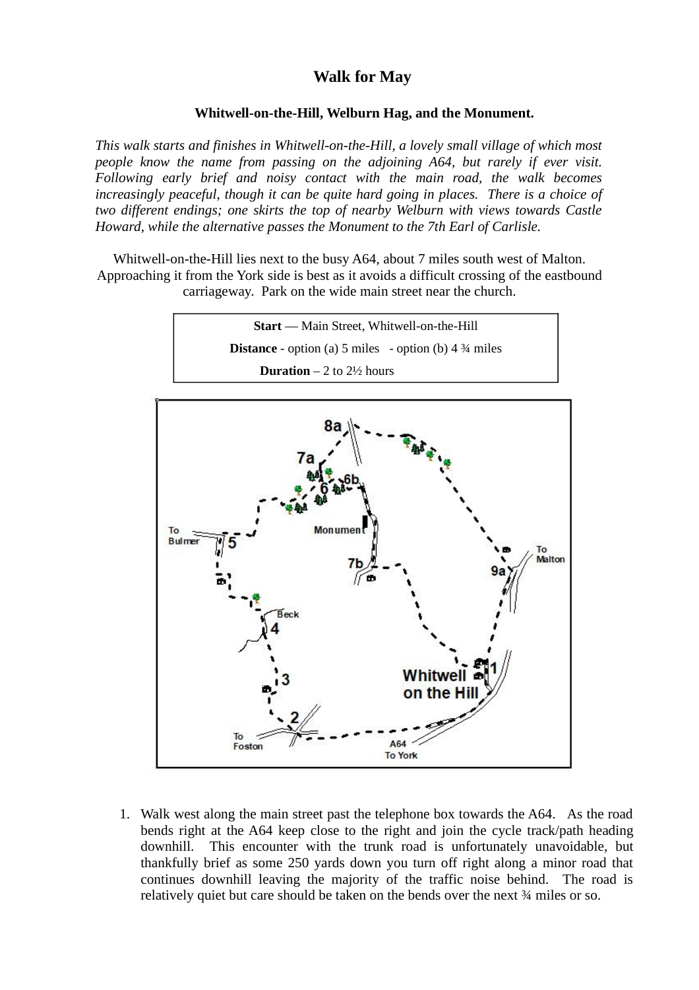## **Walk for May**

## **Whitwell-on-the-Hill, Welburn Hag, and the Monument.**

*This walk starts and finishes in Whitwell-on-the-Hill, a lovely small village of which most people know the name from passing on the adjoining A64, but rarely if ever visit. Following early brief and noisy contact with the main road, the walk becomes increasingly peaceful, though it can be quite hard going in places. There is a choice of two different endings; one skirts the top of nearby Welburn with views towards Castle Howard, while the alternative passes the Monument to the 7th Earl of Carlisle.*

Whitwell-on-the-Hill lies next to the busy A64, about 7 miles south west of Malton. Approaching it from the York side is best as it avoids a difficult crossing of the eastbound carriageway. Park on the wide main street near the church.

> **Start** –– Main Street, Whitwell-on-the-Hill **Distance** - option (a) 5 miles - option (b) 4  $\frac{3}{4}$  miles **Duration** – 2 to  $2\frac{1}{2}$  hours



1. Walk west along the main street past the telephone box towards the A64. As the road bends right at the A64 keep close to the right and join the cycle track/path heading downhill. This encounter with the trunk road is unfortunately unavoidable, but thankfully brief as some 250 yards down you turn off right along a minor road that continues downhill leaving the majority of the traffic noise behind. The road is relatively quiet but care should be taken on the bends over the next ¾ miles or so.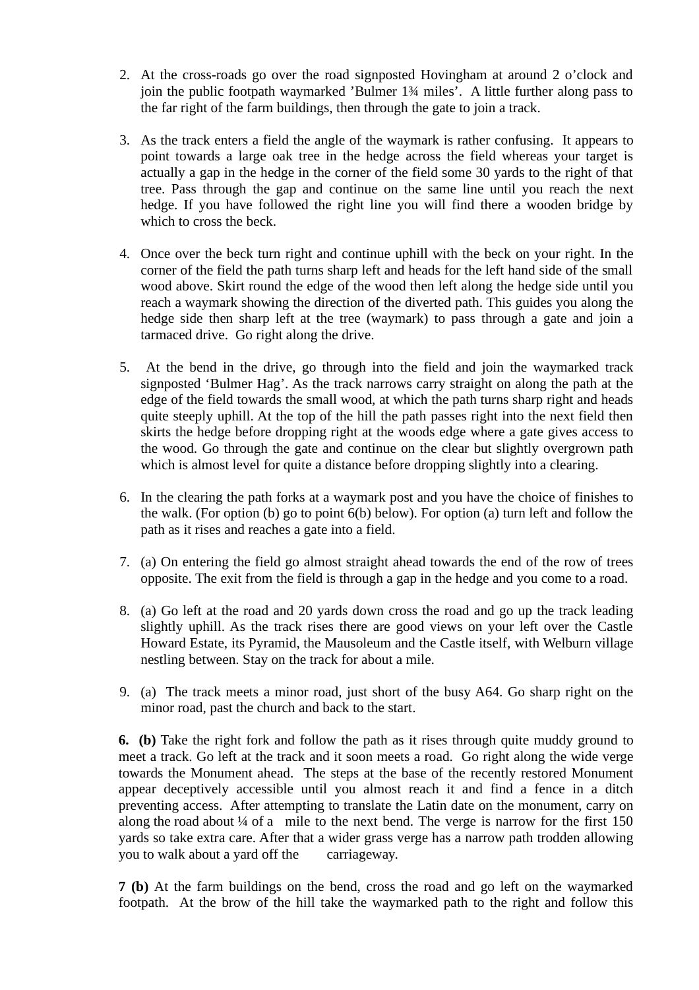- 2. At the cross-roads go over the road signposted Hovingham at around 2 o'clock and join the public footpath waymarked 'Bulmer 1¾ miles'. A little further along pass to the far right of the farm buildings, then through the gate to join a track.
- 3. As the track enters a field the angle of the waymark is rather confusing. It appears to point towards a large oak tree in the hedge across the field whereas your target is actually a gap in the hedge in the corner of the field some 30 yards to the right of that tree. Pass through the gap and continue on the same line until you reach the next hedge. If you have followed the right line you will find there a wooden bridge by which to cross the beck.
- 4. Once over the beck turn right and continue uphill with the beck on your right. In the corner of the field the path turns sharp left and heads for the left hand side of the small wood above. Skirt round the edge of the wood then left along the hedge side until you reach a waymark showing the direction of the diverted path. This guides you along the hedge side then sharp left at the tree (waymark) to pass through a gate and join a tarmaced drive. Go right along the drive.
- 5. At the bend in the drive, go through into the field and join the waymarked track signposted 'Bulmer Hag'. As the track narrows carry straight on along the path at the edge of the field towards the small wood, at which the path turns sharp right and heads quite steeply uphill. At the top of the hill the path passes right into the next field then skirts the hedge before dropping right at the woods edge where a gate gives access to the wood. Go through the gate and continue on the clear but slightly overgrown path which is almost level for quite a distance before dropping slightly into a clearing.
- 6. In the clearing the path forks at a waymark post and you have the choice of finishes to the walk. (For option (b) go to point 6(b) below). For option (a) turn left and follow the path as it rises and reaches a gate into a field.
- 7. (a) On entering the field go almost straight ahead towards the end of the row of trees opposite. The exit from the field is through a gap in the hedge and you come to a road.
- 8. (a) Go left at the road and 20 yards down cross the road and go up the track leading slightly uphill. As the track rises there are good views on your left over the Castle Howard Estate, its Pyramid, the Mausoleum and the Castle itself, with Welburn village nestling between. Stay on the track for about a mile.
- 9. (a) The track meets a minor road, just short of the busy A64. Go sharp right on the minor road, past the church and back to the start.

**6. (b)** Take the right fork and follow the path as it rises through quite muddy ground to meet a track. Go left at the track and it soon meets a road. Go right along the wide verge towards the Monument ahead. The steps at the base of the recently restored Monument appear deceptively accessible until you almost reach it and find a fence in a ditch preventing access. After attempting to translate the Latin date on the monument, carry on along the road about  $\frac{1}{4}$  of a mile to the next bend. The verge is narrow for the first 150 yards so take extra care. After that a wider grass verge has a narrow path trodden allowing you to walk about a yard off the carriageway.

**7 (b)** At the farm buildings on the bend, cross the road and go left on the waymarked footpath. At the brow of the hill take the waymarked path to the right and follow this